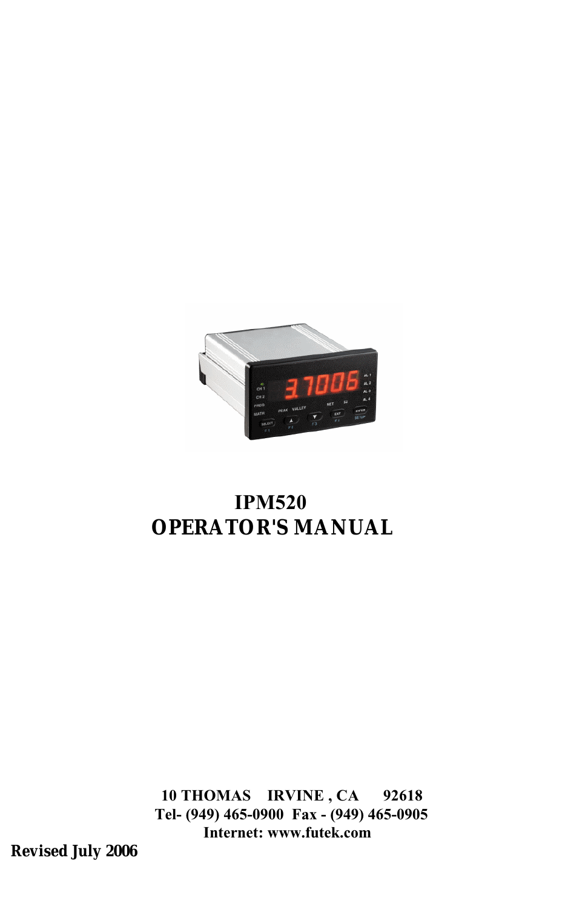

# **IPM520 OPERATOR'S MANUAL**

**10 THOMAS IRVINE , CA 92618 Tel- (949) 465-0900 Fax - (949) 465-0905 Internet: www.futek.com**

**Revised July 2006**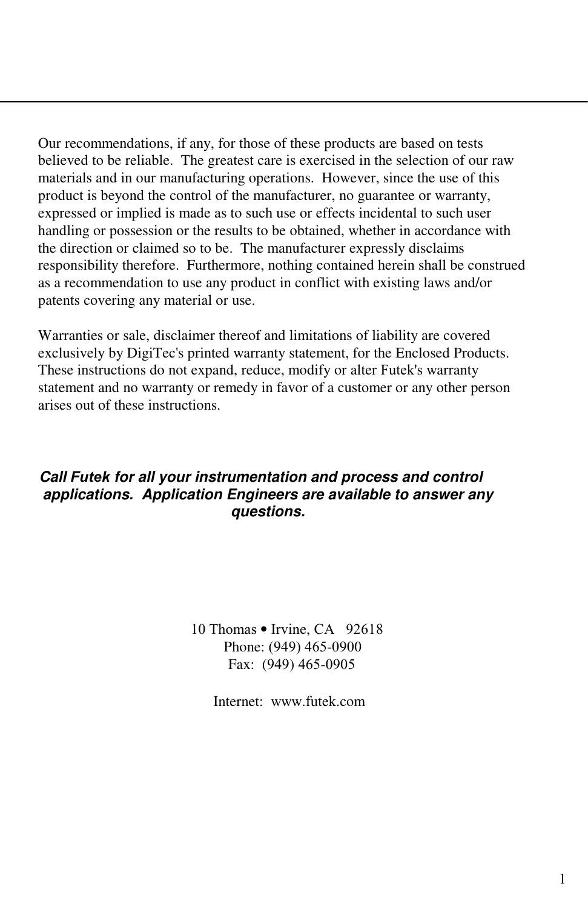Our recommendations, if any, for those of these products are based on tests believed to be reliable. The greatest care is exercised in the selection of our raw materials and in our manufacturing operations. However, since the use of this product is beyond the control of the manufacturer, no guarantee or warranty, expressed or implied is made as to such use or effects incidental to such user handling or possession or the results to be obtained, whether in accordance with the direction or claimed so to be. The manufacturer expressly disclaims responsibility therefore. Furthermore, nothing contained herein shall be construed as a recommendation to use any product in conflict with existing laws and/or patents covering any material or use.

Warranties or sale, disclaimer thereof and limitations of liability are covered exclusively by DigiTec's printed warranty statement, for the Enclosed Products. These instructions do not expand, reduce, modify or alter Futek's warranty statement and no warranty or remedy in favor of a customer or any other person arises out of these instructions.

#### *Call Futek for all your instrumentation and process and control applications. Application Engineers are available to answer any questions.*

10 Thomas • Irvine, CA 92618 Phone: (949) 465-0900 Fax: (949) 465-0905

Internet: www.futek.com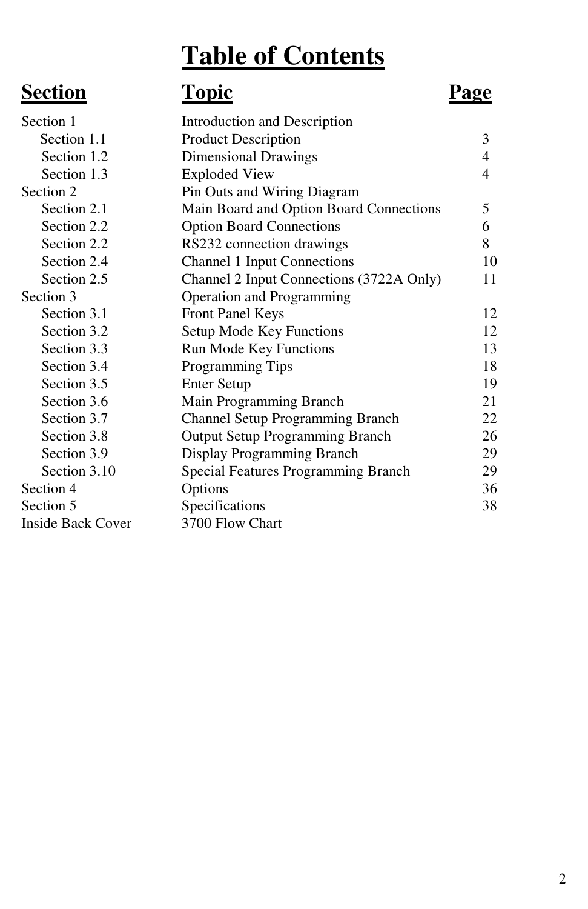# **Table of Contents**

# **Section Topic Page**

| Section 1                | Introduction and Description               |    |
|--------------------------|--------------------------------------------|----|
| Section 1.1              | <b>Product Description</b>                 | 3  |
| Section 1.2              | Dimensional Drawings                       | 4  |
| Section 1.3              | <b>Exploded View</b>                       | 4  |
| Section 2                | Pin Outs and Wiring Diagram                |    |
| Section 2.1              | Main Board and Option Board Connections    | 5  |
| Section 2.2              | <b>Option Board Connections</b>            | 6  |
| Section 2.2              | RS232 connection drawings                  | 8  |
| Section 2.4              | <b>Channel 1 Input Connections</b>         | 10 |
| Section 2.5              | Channel 2 Input Connections (3722A Only)   | 11 |
| Section 3                | Operation and Programming                  |    |
| Section 3.1              | <b>Front Panel Keys</b>                    | 12 |
| Section 3.2              | Setup Mode Key Functions                   | 12 |
| Section 3.3              | Run Mode Key Functions                     | 13 |
| Section 3.4              | Programming Tips                           | 18 |
| Section 3.5              | <b>Enter Setup</b>                         | 19 |
| Section 3.6              | Main Programming Branch                    | 21 |
| Section 3.7              | <b>Channel Setup Programming Branch</b>    | 22 |
| Section 3.8              | <b>Output Setup Programming Branch</b>     | 26 |
| Section 3.9              | Display Programming Branch                 | 29 |
| Section 3.10             | <b>Special Features Programming Branch</b> | 29 |
| Section 4                | Options                                    | 36 |
| Section 5                | Specifications                             | 38 |
| <b>Inside Back Cover</b> | 3700 Flow Chart                            |    |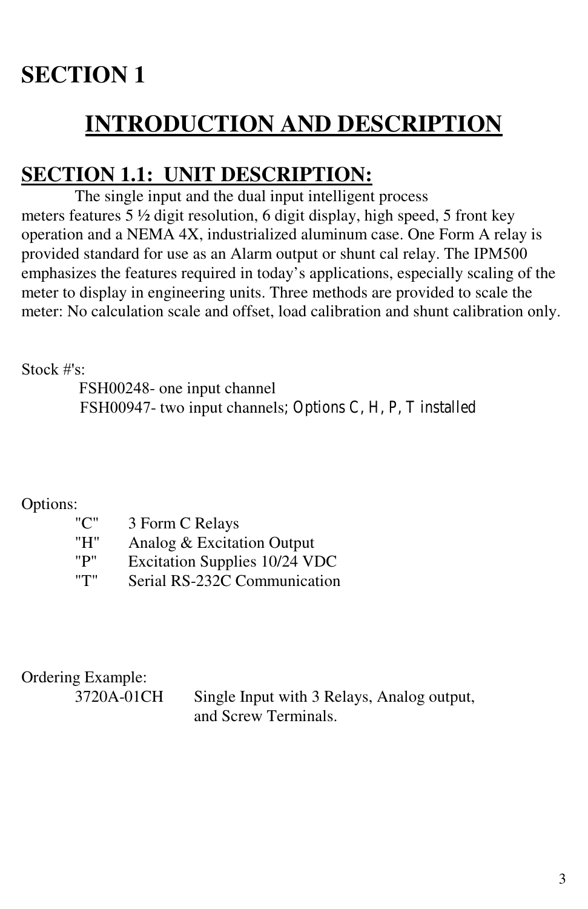# **SECTION 1**

# **INTRODUCTION AND DESCRIPTION**

# **SECTION 1.1: UNIT DESCRIPTION:**

The single input and the dual input intelligent process meters features 5 ½ digit resolution, 6 digit display, high speed, 5 front key operation and a NEMA 4X, industrialized aluminum case. One Form A relay is provided standard for use as an Alarm output or shunt cal relay. The IPM500 emphasizes the features required in today's applications, especially scaling of the meter to display in engineering units. Three methods are provided to scale the meter: No calculation scale and offset, load calibration and shunt calibration only.

Stock #'s:

FSH00248- one input channel FSH00947- two input channels; Options C, H, P, T installed

Options:

| "C" | 3 Form C Relays               |
|-----|-------------------------------|
| "H" | Analog & Excitation Output    |
| "P" | Excitation Supplies 10/24 VDC |
| "Т" | Serial RS-232C Communication  |

Ordering Example:

3720A-01CH Single Input with 3 Relays, Analog output, and Screw Terminals.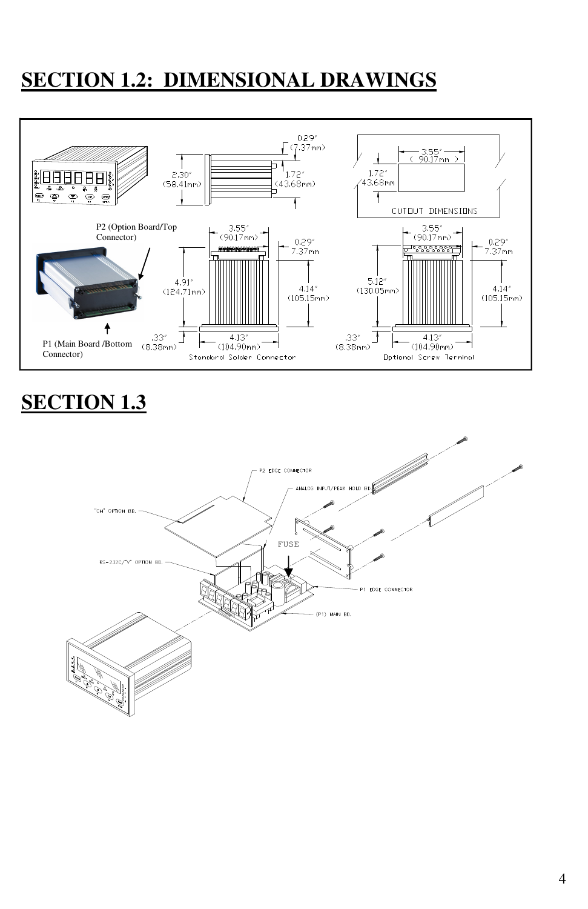# **SECTION 1.2: DIMENSIONAL DRAWINGS**



# **SECTION 1.3**

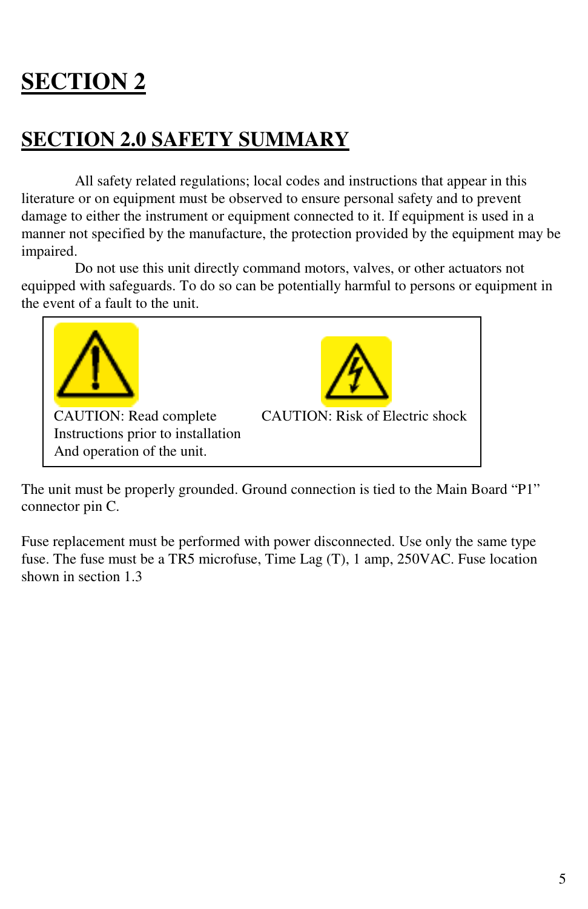# **SECTION 2**

## **SECTION 2.0 SAFETY SUMMARY**

All safety related regulations; local codes and instructions that appear in this literature or on equipment must be observed to ensure personal safety and to prevent damage to either the instrument or equipment connected to it. If equipment is used in a manner not specified by the manufacture, the protection provided by the equipment may be impaired.

Do not use this unit directly command motors, valves, or other actuators not equipped with safeguards. To do so can be potentially harmful to persons or equipment in the event of a fault to the unit.



The unit must be properly grounded. Ground connection is tied to the Main Board "P1" connector pin C.

Fuse replacement must be performed with power disconnected. Use only the same type fuse. The fuse must be a TR5 microfuse, Time Lag (T), 1 amp, 250VAC. Fuse location shown in section 1.3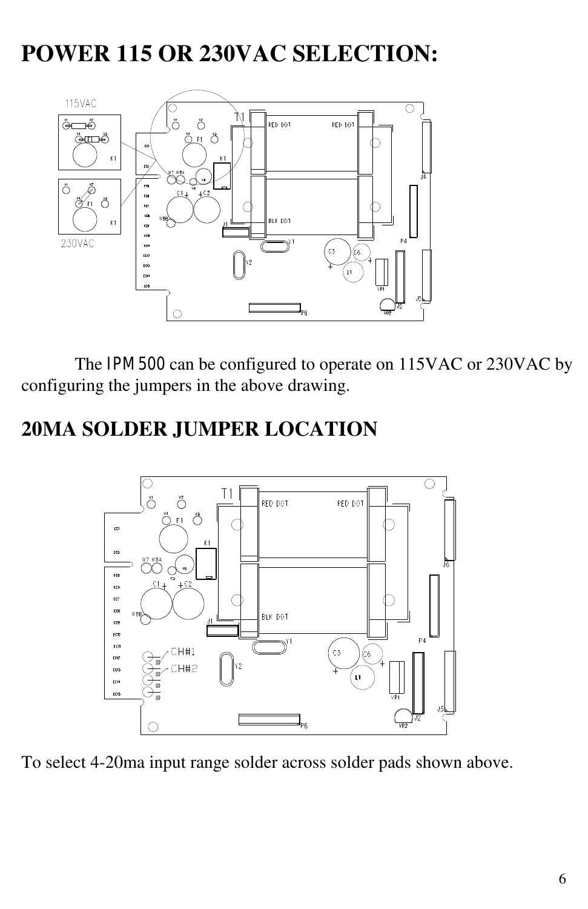# **POWER 115 OR 230VAC SELECTION:**



The IPM500 can be configured to operate on 115VAC or 230VAC by configuring the jumpers in the above drawing.

## **20MA SOLDER JUMPER LOCATION**



To select 4-20ma input range solder across solder pads shown above.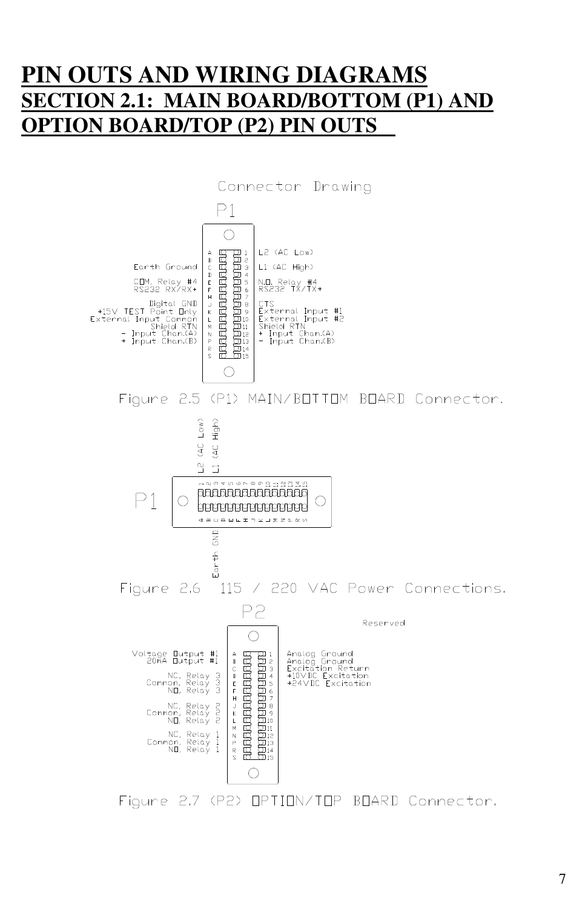## **PIN OUTS AND WIRING DIAGRAMS SECTION 2.1: MAIN BOARD/BOTTOM (P1) AND OPTION BOARD/TOP (P2) PIN OUTS**

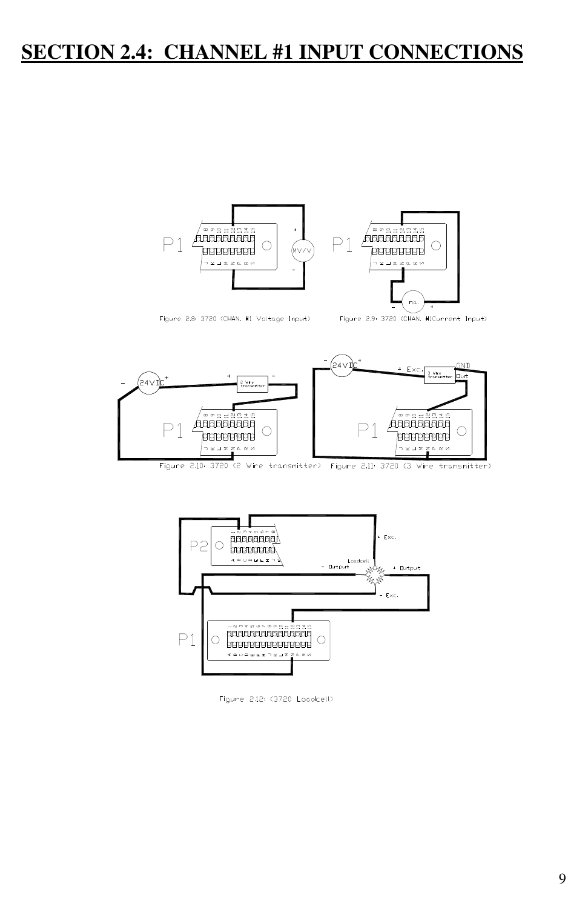#### **SECTION 2.4: CHANNEL #1 INPUT CONNECTIONS**



Figure 2.8: 3720 (CHAN: #1 Voltage Input)

Figure 2.9: 3720 (CHAN. #ICurrent Input)



Figure 2.10: 3720 (2 Wire transmitter) Figure 2.11: 3720 (3 Wire transmitter)



Figune 2.12: (3720 Loadcell)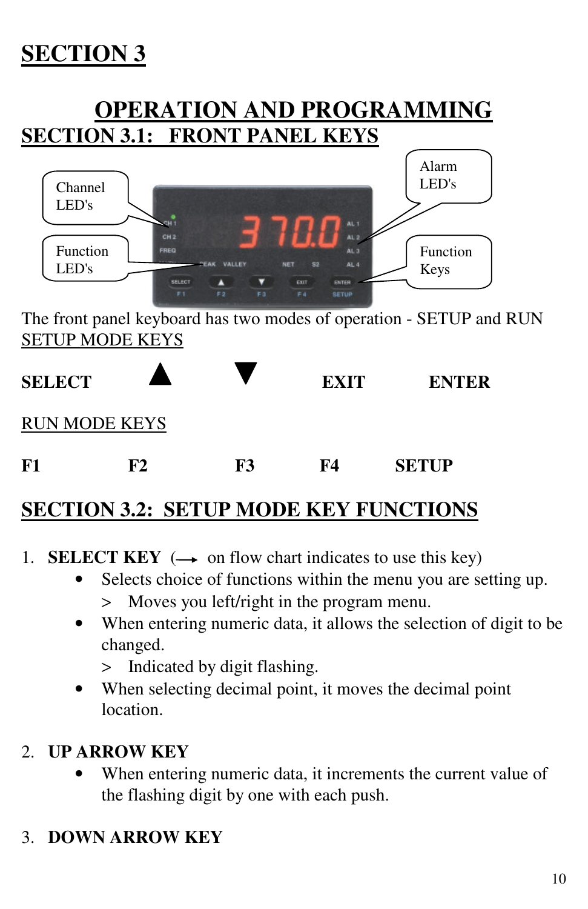# **SECTION 3**

# **OPERATION AND PROGRAMMING SECTION 3.1: FRONT PANEL KEYS**



The front panel keyboard has two modes of operation - SETUP and RUN SETUP MODE KEYS



# **SECTION 3.2: SETUP MODE KEY FUNCTIONS**

- 1. **SELECT KEY**  $(\rightarrow \text{on flow chart indicates to use this key})$ 
	- Selects choice of functions within the menu you are setting up. > Moves you left/right in the program menu.
	- When entering numeric data, it allows the selection of digit to be changed.
		- > Indicated by digit flashing.
	- When selecting decimal point, it moves the decimal point location.

#### 2. **UP ARROW KEY**

When entering numeric data, it increments the current value of the flashing digit by one with each push.

## 3. **DOWN ARROW KEY**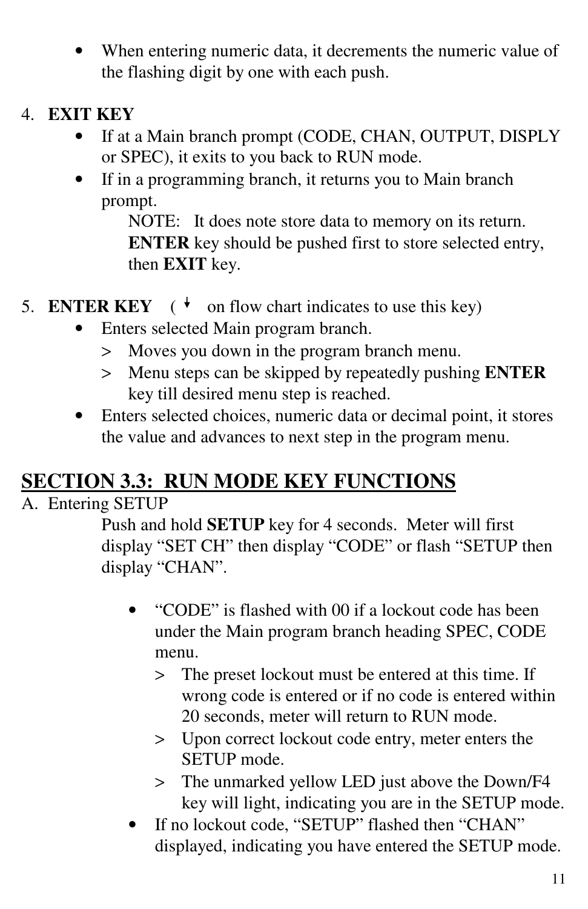- When entering numeric data, it decrements the numeric value of the flashing digit by one with each push.
- 4. **EXIT KEY**
	- If at a Main branch prompt (CODE, CHAN, OUTPUT, DISPLY or SPEC), it exits to you back to RUN mode.
	- If in a programming branch, it returns you to Main branch prompt.

NOTE: It does note store data to memory on its return. **ENTER** key should be pushed first to store selected entry, then **EXIT** key.

- 5. **ENTER KEY** ( $\overrightarrow{v}$  on flow chart indicates to use this key)
	- Enters selected Main program branch.
		- > Moves you down in the program branch menu.
		- > Menu steps can be skipped by repeatedly pushing **ENTER** key till desired menu step is reached.
	- Enters selected choices, numeric data or decimal point, it stores the value and advances to next step in the program menu.

# **SECTION 3.3: RUN MODE KEY FUNCTIONS**

## A. Entering SETUP

Push and hold **SETUP** key for 4 seconds. Meter will first display "SET CH" then display "CODE" or flash "SETUP then display "CHAN".

- "CODE" is flashed with 00 if a lockout code has been under the Main program branch heading SPEC, CODE menu.
	- > The preset lockout must be entered at this time. If wrong code is entered or if no code is entered within 20 seconds, meter will return to RUN mode.
	- > Upon correct lockout code entry, meter enters the SETUP mode.
	- > The unmarked yellow LED just above the Down/F4 key will light, indicating you are in the SETUP mode.
- If no lockout code, "SETUP" flashed then "CHAN" displayed, indicating you have entered the SETUP mode.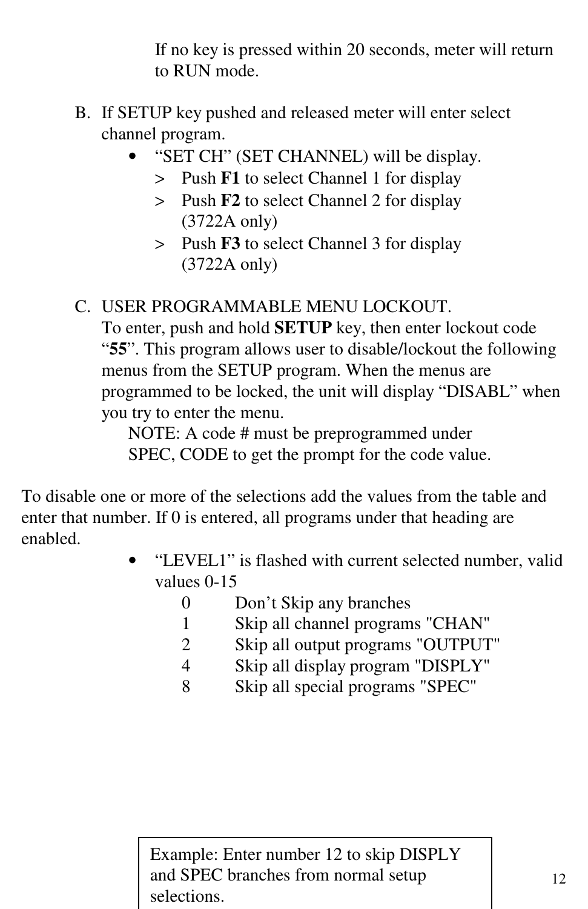If no key is pressed within 20 seconds, meter will return to RUN mode.

- B. If SETUP key pushed and released meter will enter select channel program.
	- "SET CH" (SET CHANNEL) will be display.
		- > Push **F1** to select Channel 1 for display
		- > Push **F2** to select Channel 2 for display (3722A only)
		- > Push **F3** to select Channel 3 for display (3722A only)

#### C. USER PROGRAMMABLE MENU LOCKOUT.

To enter, push and hold **SETUP** key, then enter lockout code "**55**". This program allows user to disable/lockout the following menus from the SETUP program. When the menus are programmed to be locked, the unit will display "DISABL" when you try to enter the menu.

NOTE: A code # must be preprogrammed under SPEC, CODE to get the prompt for the code value.

To disable one or more of the selections add the values from the table and enter that number. If 0 is entered, all programs under that heading are enabled.

- "LEVEL1" is flashed with current selected number, valid values 0-15
	- 0 Don't Skip any branches
	- 1 Skip all channel programs "CHAN"
	- 2 Skip all output programs "OUTPUT"
	- 4 Skip all display program "DISPLY"
	- 8 Skip all special programs "SPEC"

Example: Enter number 12 to skip DISPLY and SPEC branches from normal setup selections.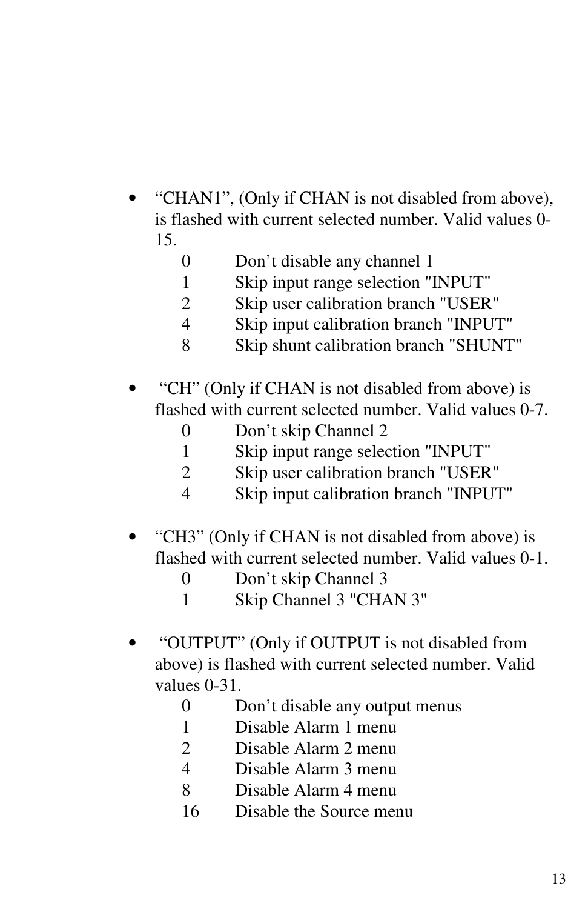- "CHAN1", (Only if CHAN is not disabled from above), is flashed with current selected number. Valid values 0- 15.
	- Don't disable any channel 1
	- Skip input range selection "INPUT"
	- Skip user calibration branch "USER"
	- Skip input calibration branch "INPUT"
	- Skip shunt calibration branch "SHUNT"
- "CH" (Only if CHAN is not disabled from above) is flashed with current selected number. Valid values 0-7.
	- Don't skip Channel 2
	- Skip input range selection "INPUT"
	- Skip user calibration branch "USER"
	- Skip input calibration branch "INPUT"
- "CH3" (Only if CHAN is not disabled from above) is flashed with current selected number. Valid values 0-1.
	- Don't skip Channel 3
	- Skip Channel 3 "CHAN 3"
- "OUTPUT" (Only if OUTPUT is not disabled from above) is flashed with current selected number. Valid values 0-31.
	- Don't disable any output menus
	- Disable Alarm 1 menu
	- Disable Alarm 2 menu
	- Disable Alarm 3 menu
	- Disable Alarm 4 menu
	- Disable the Source menu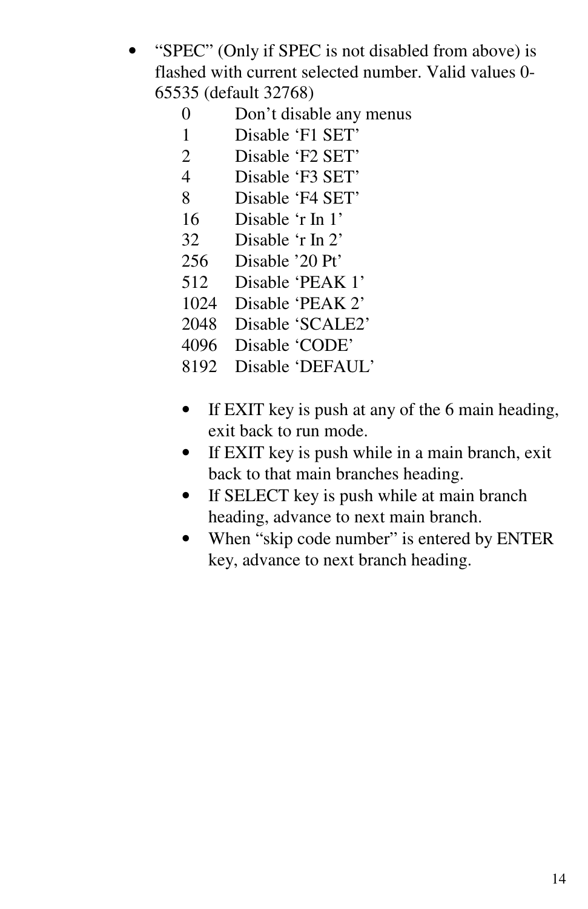- "SPEC" (Only if SPEC is not disabled from above) is flashed with current selected number. Valid values 0- 65535 (default 32768)
	- 0 Don't disable any menus
	- 1 Disable 'F1 SET'<br>2 Disable 'F2 SET'
	- Disable 'F2 SET'
	- 4 Disable 'F3 SET'
	- 8 Disable 'F4 SET'
	- 16 Disable 'r In 1'
	- 32 Disable 'r In 2'
	- 256 Disable '20 Pt'
	- 512 Disable 'PEAK 1'
	- 1024 Disable 'PEAK 2'
	- 2048 Disable 'SCALE2'
	- 4096 Disable 'CODE'
	- 8192 Disable 'DEFAUL'
	- If EXIT key is push at any of the 6 main heading, exit back to run mode.
	- If EXIT key is push while in a main branch, exit back to that main branches heading.
	- If SELECT key is push while at main branch heading, advance to next main branch.
	- When "skip code number" is entered by ENTER key, advance to next branch heading.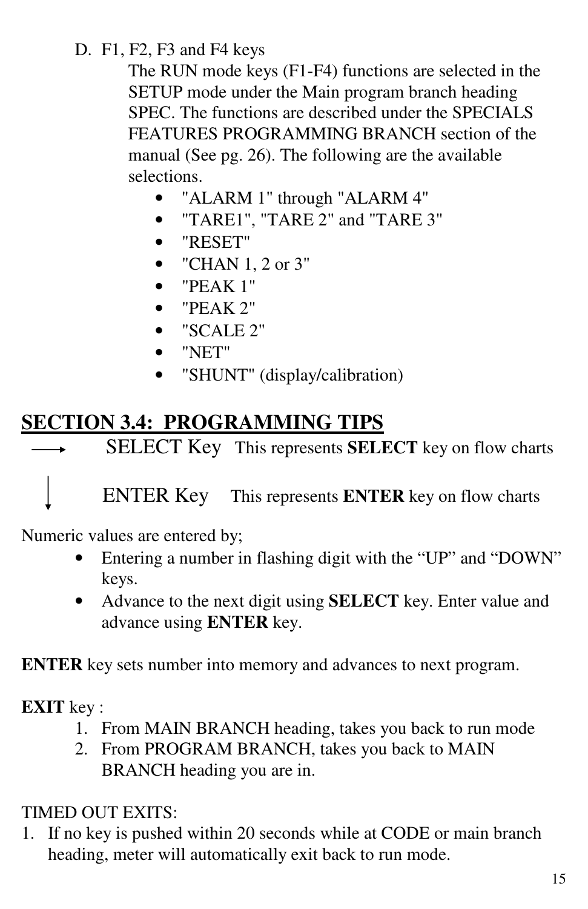D. F1, F2, F3 and F4 keys

The RUN mode keys (F1-F4) functions are selected in the SETUP mode under the Main program branch heading SPEC. The functions are described under the SPECIALS FEATURES PROGRAMMING BRANCH section of the manual (See pg. 26). The following are the available selections.

- "ALARM 1" through "ALARM 4"
- "TARE1", "TARE 2" and "TARE 3"
- "RESET"
- "CHAN 1, 2 or 3"
- "PEAK 1"
- "PEAK 2"
- "SCALE 2"
- "NET"
- "SHUNT" (display/calibration)

# **SECTION 3.4: PROGRAMMING TIPS**

SELECT Key This represents **SELECT** key on flow charts  $\overline{\phantom{a}}$ 

ENTER Key This represents **ENTER** key on flow charts

Numeric values are entered by;

- Entering a number in flashing digit with the "UP" and "DOWN" keys.
- Advance to the next digit using **SELECT** key. Enter value and advance using **ENTER** key.

**ENTER** key sets number into memory and advances to next program.

**EXIT** key :

- 1. From MAIN BRANCH heading, takes you back to run mode
- 2. From PROGRAM BRANCH, takes you back to MAIN BRANCH heading you are in.

TIMED OUT EXITS:

1. If no key is pushed within 20 seconds while at CODE or main branch heading, meter will automatically exit back to run mode.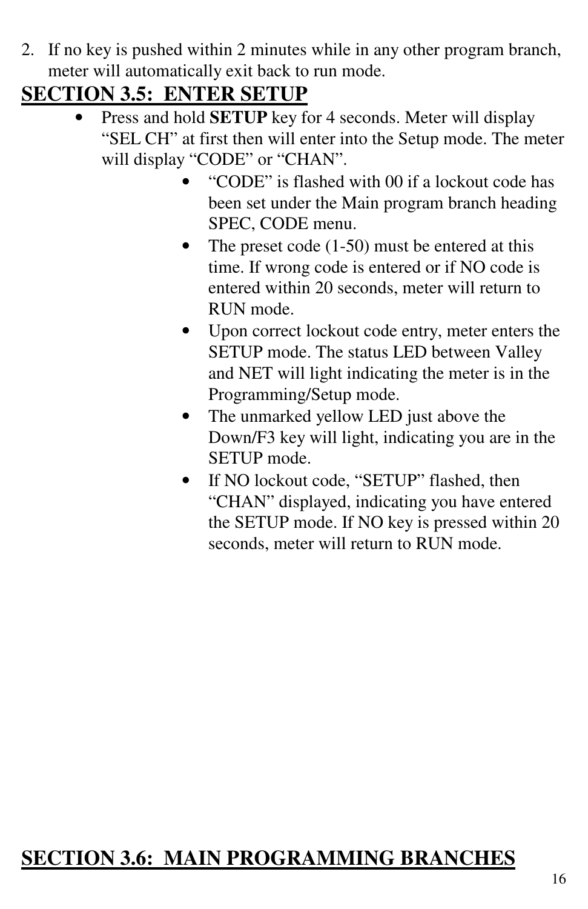2. If no key is pushed within 2 minutes while in any other program branch, meter will automatically exit back to run mode.

## **SECTION 3.5: ENTER SETUP**

- Press and hold **SETUP** key for 4 seconds. Meter will display "SEL CH" at first then will enter into the Setup mode. The meter will display "CODE" or "CHAN".
	- "CODE" is flashed with 00 if a lockout code has been set under the Main program branch heading SPEC, CODE menu.
	- The preset code  $(1-50)$  must be entered at this time. If wrong code is entered or if NO code is entered within 20 seconds, meter will return to RUN mode.
	- Upon correct lockout code entry, meter enters the SETUP mode. The status LED between Valley and NET will light indicating the meter is in the Programming/Setup mode.
	- The unmarked yellow LED just above the Down/F3 key will light, indicating you are in the SETUP mode.
	- If NO lockout code, "SETUP" flashed, then "CHAN" displayed, indicating you have entered the SETUP mode. If NO key is pressed within 20 seconds, meter will return to RUN mode.

# **SECTION 3.6: MAIN PROGRAMMING BRANCHES**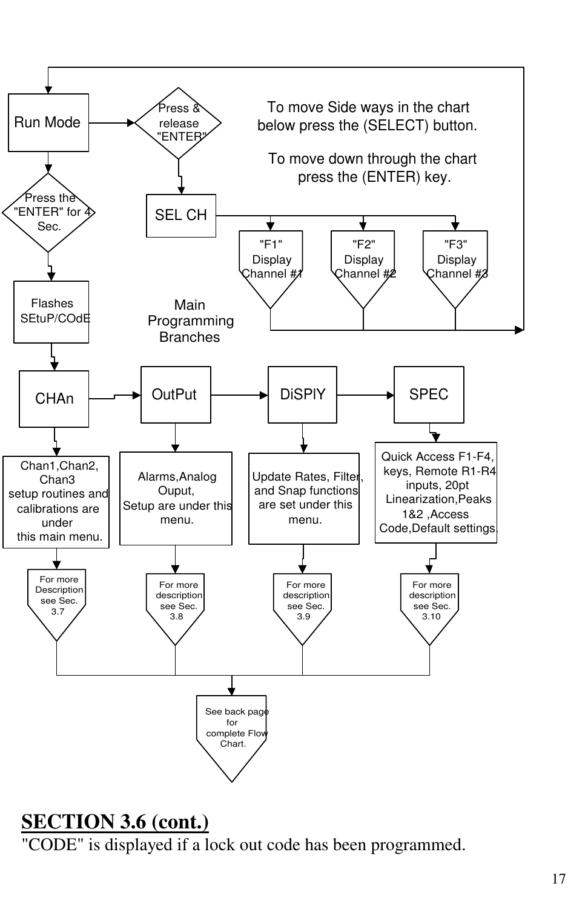

## **SECTION 3.6 (cont.)**

"CODE" is displayed if a lock out code has been programmed.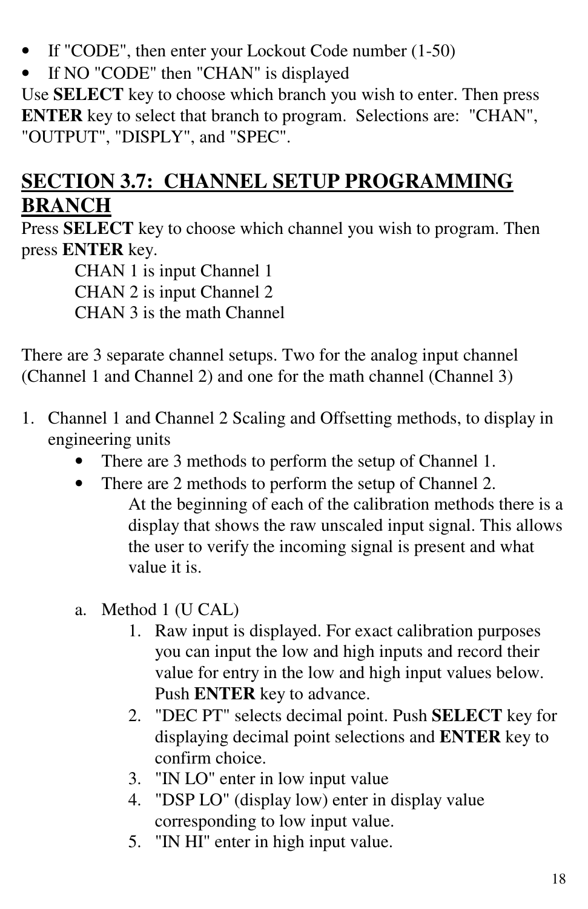- If "CODE", then enter your Lockout Code number (1-50)
- If NO "CODE" then "CHAN" is displayed

Use **SELECT** key to choose which branch you wish to enter. Then press **ENTER** key to select that branch to program. Selections are: "CHAN", "OUTPUT", "DISPLY", and "SPEC".

# **SECTION 3.7: CHANNEL SETUP PROGRAMMING BRANCH**

Press **SELECT** key to choose which channel you wish to program. Then press **ENTER** key.

> CHAN 1 is input Channel 1 CHAN 2 is input Channel 2 CHAN 3 is the math Channel

There are 3 separate channel setups. Two for the analog input channel (Channel 1 and Channel 2) and one for the math channel (Channel 3)

- 1. Channel 1 and Channel 2 Scaling and Offsetting methods, to display in engineering units
	- There are 3 methods to perform the setup of Channel 1.
	- There are 2 methods to perform the setup of Channel 2. At the beginning of each of the calibration methods there is a display that shows the raw unscaled input signal. This allows the user to verify the incoming signal is present and what value it is.
	- a. Method 1 (U CAL)
		- 1. Raw input is displayed. For exact calibration purposes you can input the low and high inputs and record their value for entry in the low and high input values below. Push **ENTER** key to advance.
		- 2. "DEC PT" selects decimal point. Push **SELECT** key for displaying decimal point selections and **ENTER** key to confirm choice.
		- 3. "IN LO" enter in low input value
		- 4. "DSP LO" (display low) enter in display value corresponding to low input value.
		- 5. "IN HI" enter in high input value.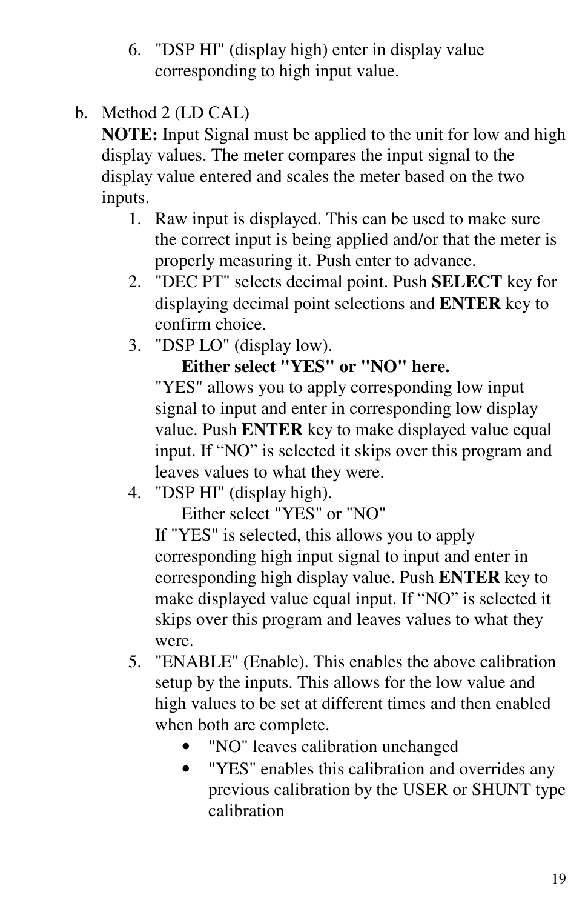- 6. "DSP HI" (display high) enter in display value corresponding to high input value.
- b. Method 2 (LD CAL)

**NOTE:** Input Signal must be applied to the unit for low and high display values. The meter compares the input signal to the display value entered and scales the meter based on the two inputs.

- 1. Raw input is displayed. This can be used to make sure the correct input is being applied and/or that the meter is properly measuring it. Push enter to advance.
- 2. "DEC PT" selects decimal point. Push **SELECT** key for displaying decimal point selections and **ENTER** key to confirm choice.
- 3. "DSP LO" (display low).

## **Either select "YES" or "NO" here.**

"YES" allows you to apply corresponding low input signal to input and enter in corresponding low display value. Push **ENTER** key to make displayed value equal input. If "NO" is selected it skips over this program and leaves values to what they were.

4. "DSP HI" (display high).

Either select "YES" or "NO"

If "YES" is selected, this allows you to apply corresponding high input signal to input and enter in corresponding high display value. Push **ENTER** key to make displayed value equal input. If "NO" is selected it skips over this program and leaves values to what they were.

- 5. "ENABLE" (Enable). This enables the above calibration setup by the inputs. This allows for the low value and high values to be set at different times and then enabled when both are complete.
	- "NO" leaves calibration unchanged
	- "YES" enables this calibration and overrides any previous calibration by the USER or SHUNT type calibration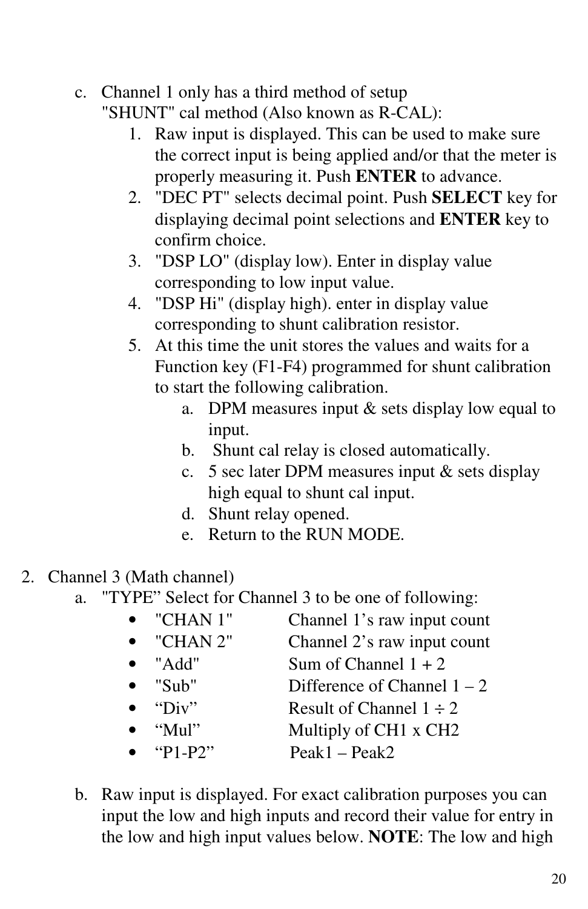## c. Channel 1 only has a third method of setup

"SHUNT" cal method (Also known as R-CAL):

- 1. Raw input is displayed. This can be used to make sure the correct input is being applied and/or that the meter is properly measuring it. Push **ENTER** to advance.
- 2. "DEC PT" selects decimal point. Push **SELECT** key for displaying decimal point selections and **ENTER** key to confirm choice.
- 3. "DSP LO" (display low). Enter in display value corresponding to low input value.
- 4. "DSP Hi" (display high). enter in display value corresponding to shunt calibration resistor.
- 5. At this time the unit stores the values and waits for a Function key (F1-F4) programmed for shunt calibration to start the following calibration.
	- a. DPM measures input  $&$  sets display low equal to input.
	- b. Shunt cal relay is closed automatically.
	- c. 5 sec later DPM measures input & sets display high equal to shunt cal input.
	- d. Shunt relay opened.
	- e. Return to the RUN MODE.
- 2. Channel 3 (Math channel)
	- a. "TYPE" Select for Channel 3 to be one of following:
		- "CHAN 1" Channel 1's raw input count • "CHAN 2" Channel 2's raw input count • "Add" Sum of Channel  $1 + 2$ • "Sub" Difference of Channel  $1 - 2$ • "Div" Result of Channel  $1 \div 2$ • "Mul" Multiply of CH1 x CH2 • "P1-P2"  $Peak1 - Peak2$
	- b. Raw input is displayed. For exact calibration purposes you can input the low and high inputs and record their value for entry in the low and high input values below. **NOTE**: The low and high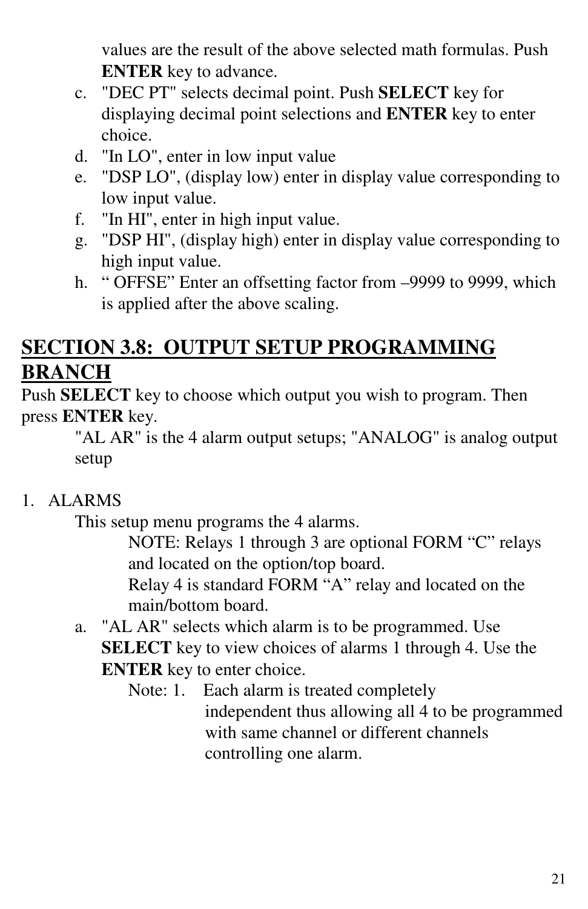values are the result of the above selected math formulas. Push **ENTER** key to advance.

- c. "DEC PT" selects decimal point. Push **SELECT** key for displaying decimal point selections and **ENTER** key to enter choice.
- d. "In LO", enter in low input value
- e. "DSP LO", (display low) enter in display value corresponding to low input value.
- f. "In HI", enter in high input value.
- g. "DSP HI", (display high) enter in display value corresponding to high input value.
- h. " OFFSE" Enter an offsetting factor from –9999 to 9999, which is applied after the above scaling.

# **SECTION 3.8: OUTPUT SETUP PROGRAMMING BRANCH**

Push **SELECT** key to choose which output you wish to program. Then press **ENTER** key.

"AL AR" is the 4 alarm output setups; "ANALOG" is analog output setup

## 1. ALARMS

This setup menu programs the 4 alarms.

NOTE: Relays 1 through 3 are optional FORM "C" relays and located on the option/top board.

Relay 4 is standard FORM "A" relay and located on the main/bottom board.

- a. "AL AR" selects which alarm is to be programmed. Use **SELECT** key to view choices of alarms 1 through 4. Use the **ENTER** key to enter choice.
	- Note: 1. Each alarm is treated completely independent thus allowing all 4 to be programmed with same channel or different channels controlling one alarm.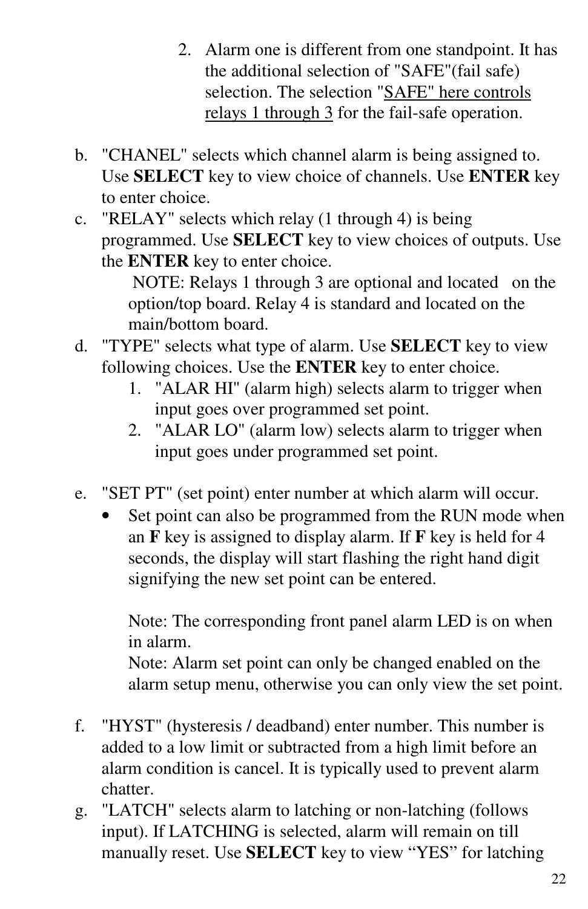- 2. Alarm one is different from one standpoint. It has the additional selection of "SAFE"(fail safe) selection. The selection "SAFE" here controls relays 1 through 3 for the fail-safe operation.
- b. "CHANEL" selects which channel alarm is being assigned to. Use **SELECT** key to view choice of channels. Use **ENTER** key to enter choice.
- c. "RELAY" selects which relay (1 through 4) is being programmed. Use **SELECT** key to view choices of outputs. Use the **ENTER** key to enter choice.

NOTE: Relays 1 through 3 are optional and located on the option/top board. Relay 4 is standard and located on the main/bottom board.

- d. "TYPE" selects what type of alarm. Use **SELECT** key to view following choices. Use the **ENTER** key to enter choice.
	- 1. "ALAR HI" (alarm high) selects alarm to trigger when input goes over programmed set point.
	- 2. "ALAR LO" (alarm low) selects alarm to trigger when input goes under programmed set point.
- e. "SET PT" (set point) enter number at which alarm will occur.
	- Set point can also be programmed from the RUN mode when an **F** key is assigned to display alarm. If **F** key is held for 4 seconds, the display will start flashing the right hand digit signifying the new set point can be entered.

Note: The corresponding front panel alarm LED is on when in alarm. Note: Alarm set point can only be changed enabled on the alarm setup menu, otherwise you can only view the set point.

- f. "HYST" (hysteresis / deadband) enter number. This number is added to a low limit or subtracted from a high limit before an alarm condition is cancel. It is typically used to prevent alarm chatter.
- g. "LATCH" selects alarm to latching or non-latching (follows input). If LATCHING is selected, alarm will remain on till manually reset. Use **SELECT** key to view "YES" for latching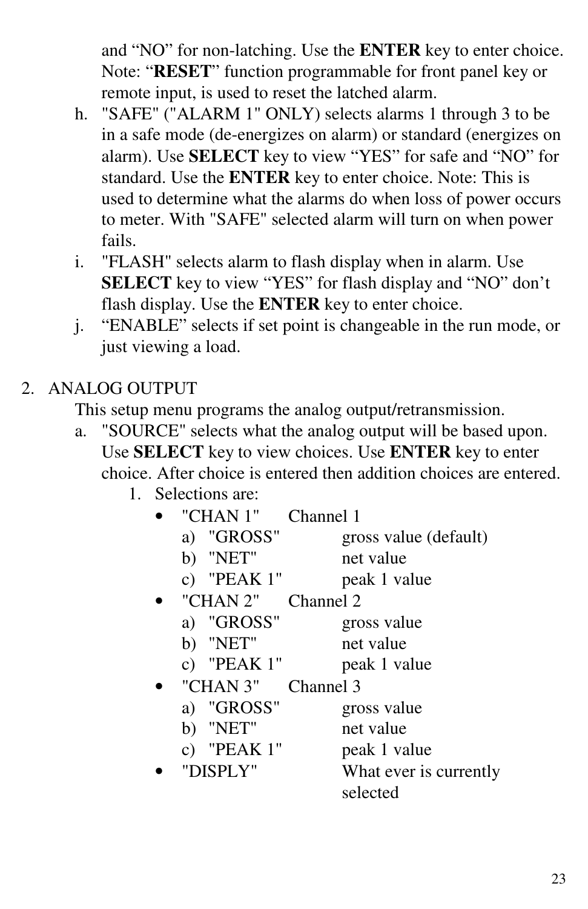and "NO" for non-latching. Use the **ENTER** key to enter choice. Note: "**RESET**" function programmable for front panel key or remote input, is used to reset the latched alarm.

- h. "SAFE" ("ALARM 1" ONLY) selects alarms 1 through 3 to be in a safe mode (de-energizes on alarm) or standard (energizes on alarm). Use **SELECT** key to view "YES" for safe and "NO" for standard. Use the **ENTER** key to enter choice. Note: This is used to determine what the alarms do when loss of power occurs to meter. With "SAFE" selected alarm will turn on when power fails.
- i. "FLASH" selects alarm to flash display when in alarm. Use **SELECT** key to view "YES" for flash display and "NO" don't flash display. Use the **ENTER** key to enter choice.
- j. "ENABLE" selects if set point is changeable in the run mode, or just viewing a load.

#### 2. ANALOG OUTPUT

This setup menu programs the analog output/retransmission.

- a. "SOURCE" selects what the analog output will be based upon. Use **SELECT** key to view choices. Use **ENTER** key to enter choice. After choice is entered then addition choices are entered.
	- 1. Selections are:

| "CHAN 1"                 | Channel 1              |
|--------------------------|------------------------|
| "GROSS"<br>a)            | gross value (default)  |
| b) "NET"                 | net value              |
| "PEAK 1"<br>$\mathbf{c}$ | peak 1 value           |
| "CHAN 2"                 | Channel 2              |
| a) "GROSS"               | gross value            |
| b) "NET"                 | net value              |
| c) "PEAK $1$ "           | peak 1 value           |
| "CHAN 3"                 | Channel 3              |
| a) "GROSS"               | gross value            |
| b) "NET"                 | net value              |
| "PEAK 1"<br>C)           | peak 1 value           |
| "DISPLY"                 | What ever is currently |
|                          | selected               |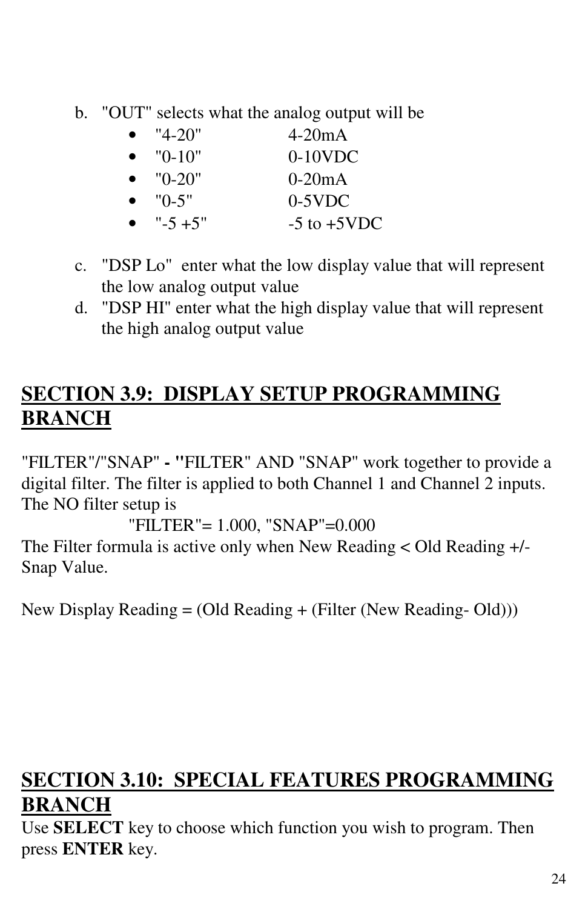b. "OUT" selects what the analog output will be

| $\bullet$ | "4-20"           | $4-20mA$         |
|-----------|------------------|------------------|
|           | $\bullet$ "0-10" | $0-10$ VDC       |
|           | $\bullet$ "0-20" | $0-20mA$         |
|           | $\bullet$ "0-5"  | $0-5$ VDC        |
| $\bullet$ | $" - 5 + 5"$     | $-5$ to $+5$ VDC |

- c. "DSP Lo" enter what the low display value that will represent the low analog output value
- d. "DSP HI" enter what the high display value that will represent the high analog output value

# **SECTION 3.9: DISPLAY SETUP PROGRAMMING BRANCH**

"FILTER"/"SNAP" **- "**FILTER" AND "SNAP" work together to provide a digital filter. The filter is applied to both Channel 1 and Channel 2 inputs. The NO filter setup is

"FILTER"= 1.000, "SNAP"=0.000

The Filter formula is active only when New Reading < Old Reading +/- Snap Value.

New Display Reading = (Old Reading + (Filter (New Reading- Old)))

# **SECTION 3.10: SPECIAL FEATURES PROGRAMMING BRANCH**

Use **SELECT** key to choose which function you wish to program. Then press **ENTER** key.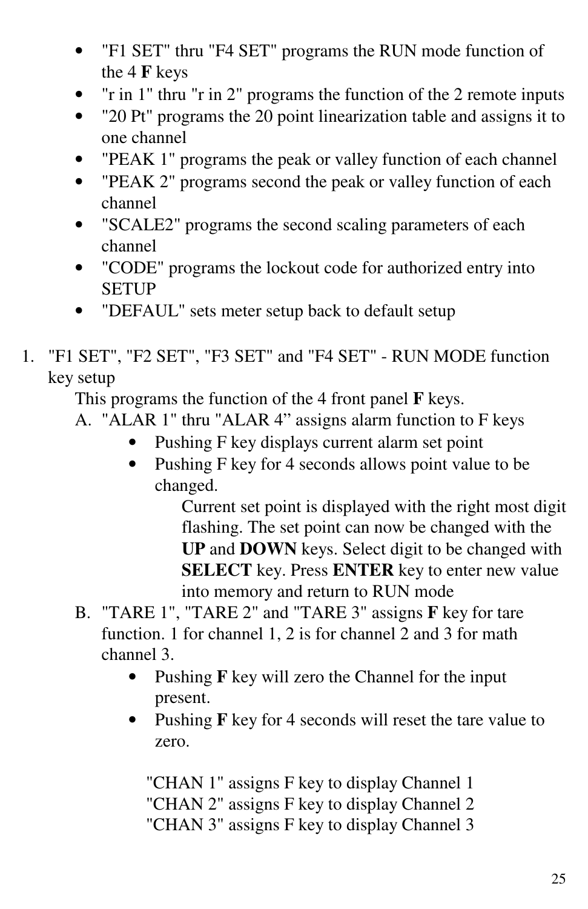- "F1 SET" thru "F4 SET" programs the RUN mode function of the 4 **F** keys
- "r in 1" thru "r in 2" programs the function of the 2 remote inputs
- "20 Pt" programs the 20 point linearization table and assigns it to one channel
- "PEAK 1" programs the peak or valley function of each channel
- "PEAK 2" programs second the peak or valley function of each channel
- "SCALE2" programs the second scaling parameters of each channel
- "CODE" programs the lockout code for authorized entry into SETUP
- "DEFAUL" sets meter setup back to default setup
- 1. "F1 SET", "F2 SET", "F3 SET" and "F4 SET" RUN MODE function key setup

This programs the function of the 4 front panel **F** keys.

- A. "ALAR 1" thru "ALAR 4" assigns alarm function to F keys
	- Pushing F key displays current alarm set point
	- Pushing F key for 4 seconds allows point value to be changed.

Current set point is displayed with the right most digit flashing. The set point can now be changed with the **UP** and **DOWN** keys. Select digit to be changed with **SELECT** key. Press **ENTER** key to enter new value into memory and return to RUN mode

- B. "TARE 1", "TARE 2" and "TARE 3" assigns **F** key for tare function. 1 for channel 1, 2 is for channel 2 and 3 for math channel 3.
	- Pushing **F** key will zero the Channel for the input present.
	- Pushing **F** key for 4 seconds will reset the tare value to zero.

"CHAN 1" assigns F key to display Channel 1 "CHAN 2" assigns F key to display Channel 2 "CHAN 3" assigns F key to display Channel 3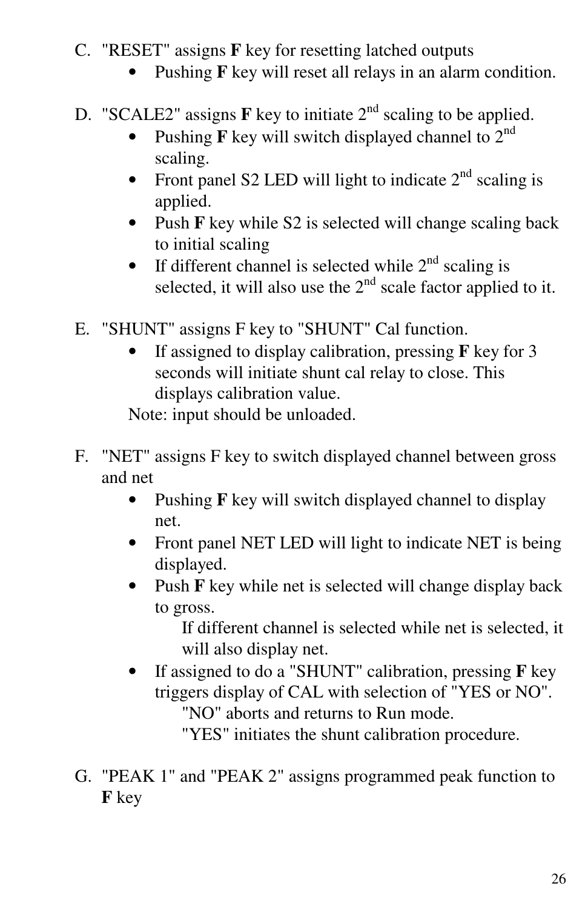- C. "RESET" assigns **F** key for resetting latched outputs
	- Pushing **F** key will reset all relays in an alarm condition.
- D. "SCALE2" assigns  $\bf{F}$  key to initiate  $2<sup>nd</sup>$  scaling to be applied.
	- Pushing  $\mathbf F$  key will switch displayed channel to  $2^{nd}$ scaling.
	- Front panel S2 LED will light to indicate  $2<sup>nd</sup>$  scaling is applied.
	- Push **F** key while S2 is selected will change scaling back to initial scaling
	- If different channel is selected while  $2<sup>nd</sup>$  scaling is selected, it will also use the  $2<sup>nd</sup>$  scale factor applied to it.
- E. "SHUNT" assigns F key to "SHUNT" Cal function.
	- If assigned to display calibration, pressing **F** key for 3 seconds will initiate shunt cal relay to close. This displays calibration value.

Note: input should be unloaded.

- F. "NET" assigns F key to switch displayed channel between gross and net
	- Pushing **F** key will switch displayed channel to display net.
	- Front panel NET LED will light to indicate NET is being displayed.
	- Push **F** key while net is selected will change display back to gross.

If different channel is selected while net is selected, it will also display net.

• If assigned to do a "SHUNT" calibration, pressing **F** key triggers display of CAL with selection of "YES or NO". "NO" aborts and returns to Run mode.

"YES" initiates the shunt calibration procedure.

G. "PEAK 1" and "PEAK 2" assigns programmed peak function to **F** key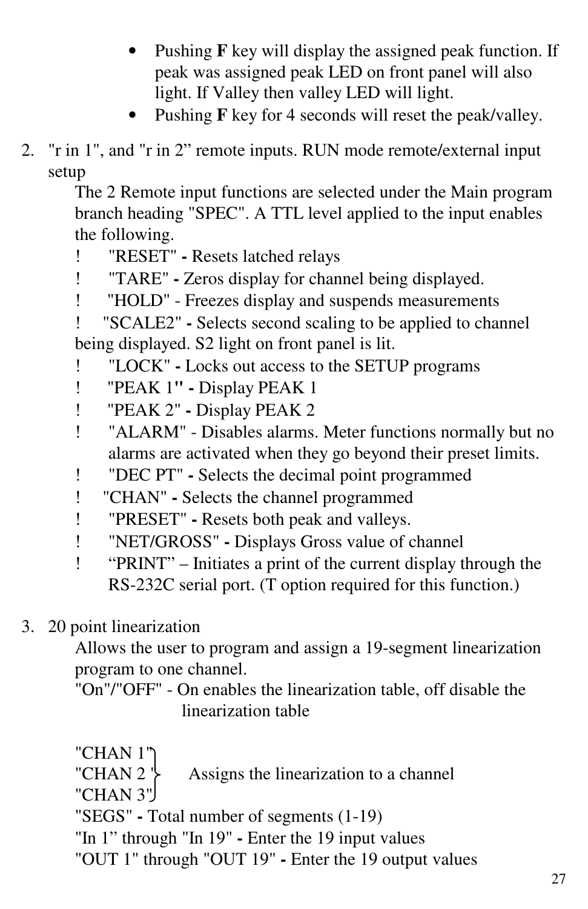- Pushing **F** key will display the assigned peak function. If peak was assigned peak LED on front panel will also light. If Valley then valley LED will light.
- Pushing **F** key for 4 seconds will reset the peak/valley.
- 2. "r in 1", and "r in 2" remote inputs. RUN mode remote/external input setup

The 2 Remote input functions are selected under the Main program branch heading "SPEC". A TTL level applied to the input enables the following.

- ! "RESET" **-** Resets latched relays
- ! "TARE" **-** Zeros display for channel being displayed.
- ! "HOLD" Freezes display and suspends measurements

! "SCALE2" **-** Selects second scaling to be applied to channel being displayed. S2 light on front panel is lit.

- ! "LOCK" **-** Locks out access to the SETUP programs
- ! "PEAK 1**" -** Display PEAK 1
- ! "PEAK 2" **-** Display PEAK 2
- ! "ALARM" Disables alarms. Meter functions normally but no alarms are activated when they go beyond their preset limits.
- ! "DEC PT" **-** Selects the decimal point programmed
- ! "CHAN" **-** Selects the channel programmed
- ! "PRESET" **-** Resets both peak and valleys.
- ! "NET/GROSS" **-** Displays Gross value of channel
- ! "PRINT" Initiates a print of the current display through the RS-232C serial port. (T option required for this function.)

## 3. 20 point linearization

Allows the user to program and assign a 19-segment linearization program to one channel.

"On"/"OFF" - On enables the linearization table, off disable the linearization table

- "CHAN 1"
- "CHAN 2  $\uparrow$  Assigns the linearization to a channel
- "CHAN 3"
- "SEGS" **-** Total number of segments (1-19)
- "In 1" through "In 19" **-** Enter the 19 input values
- "OUT 1" through "OUT 19" **-** Enter the 19 output values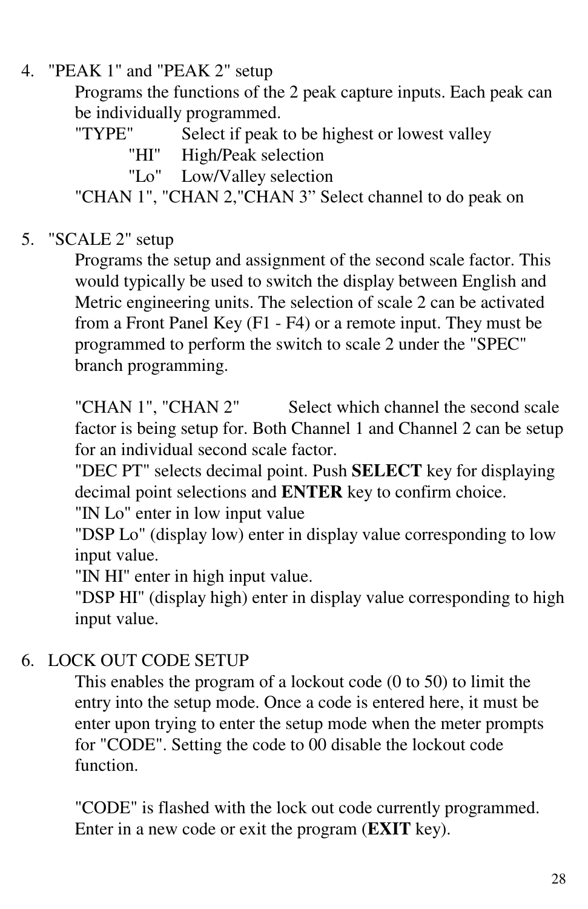#### 4. "PEAK 1" and "PEAK 2" setup

Programs the functions of the 2 peak capture inputs. Each peak can be individually programmed.

"TYPE" Select if peak to be highest or lowest valley

- "HI" High/Peak selection
- "Lo" Low/Valley selection

"CHAN 1", "CHAN 2,"CHAN 3" Select channel to do peak on

#### 5. "SCALE 2" setup

Programs the setup and assignment of the second scale factor. This would typically be used to switch the display between English and Metric engineering units. The selection of scale 2 can be activated from a Front Panel Key (F1 - F4) or a remote input. They must be programmed to perform the switch to scale 2 under the "SPEC" branch programming.

"CHAN 1", "CHAN 2" Select which channel the second scale factor is being setup for. Both Channel 1 and Channel 2 can be setup for an individual second scale factor.

"DEC PT" selects decimal point. Push **SELECT** key for displaying decimal point selections and **ENTER** key to confirm choice.

"IN Lo" enter in low input value

"DSP Lo" (display low) enter in display value corresponding to low input value.

"IN HI" enter in high input value.

"DSP HI" (display high) enter in display value corresponding to high input value.

#### 6. LOCK OUT CODE SETUP

This enables the program of a lockout code (0 to 50) to limit the entry into the setup mode. Once a code is entered here, it must be enter upon trying to enter the setup mode when the meter prompts for "CODE". Setting the code to 00 disable the lockout code function.

"CODE" is flashed with the lock out code currently programmed. Enter in a new code or exit the program (**EXIT** key).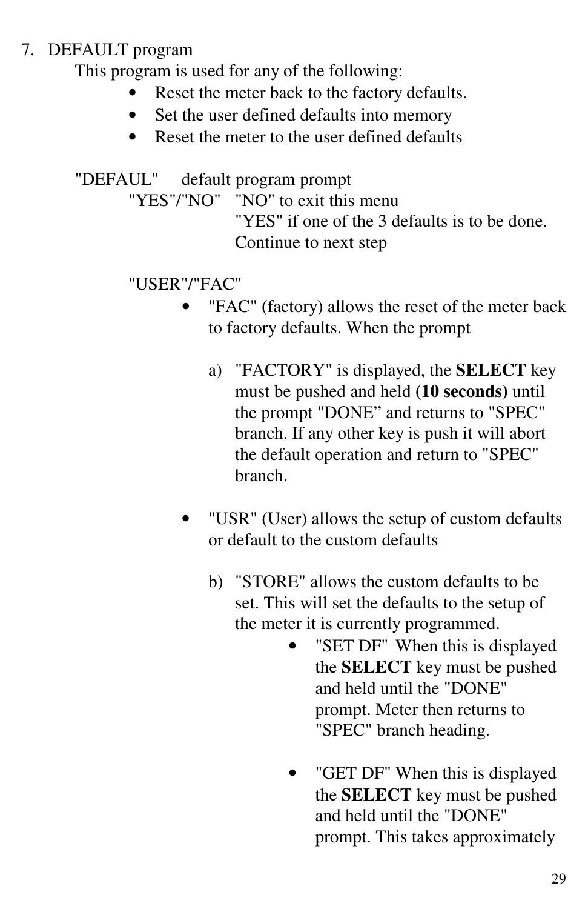#### 7. DEFAULT program

This program is used for any of the following:

- Reset the meter back to the factory defaults.
- Set the user defined defaults into memory
- Reset the meter to the user defined defaults

"DEFAUL" default program prompt

"YES"/"NO" "NO" to exit this menu

"YES" if one of the 3 defaults is to be done. Continue to next step

#### "USER"/"FAC"

- "FAC" (factory) allows the reset of the meter back to factory defaults. When the prompt
	- a) "FACTORY" is displayed, the **SELECT** key must be pushed and held **(10 seconds)** until the prompt "DONE" and returns to "SPEC" branch. If any other key is push it will abort the default operation and return to "SPEC" branch.
- "USR" (User) allows the setup of custom defaults or default to the custom defaults
	- b) "STORE" allows the custom defaults to be set. This will set the defaults to the setup of the meter it is currently programmed.
		- "SET DF" When this is displayed the **SELECT** key must be pushed and held until the "DONE" prompt. Meter then returns to "SPEC" branch heading.
		- "GET DF" When this is displayed the **SELECT** key must be pushed and held until the "DONE" prompt. This takes approximately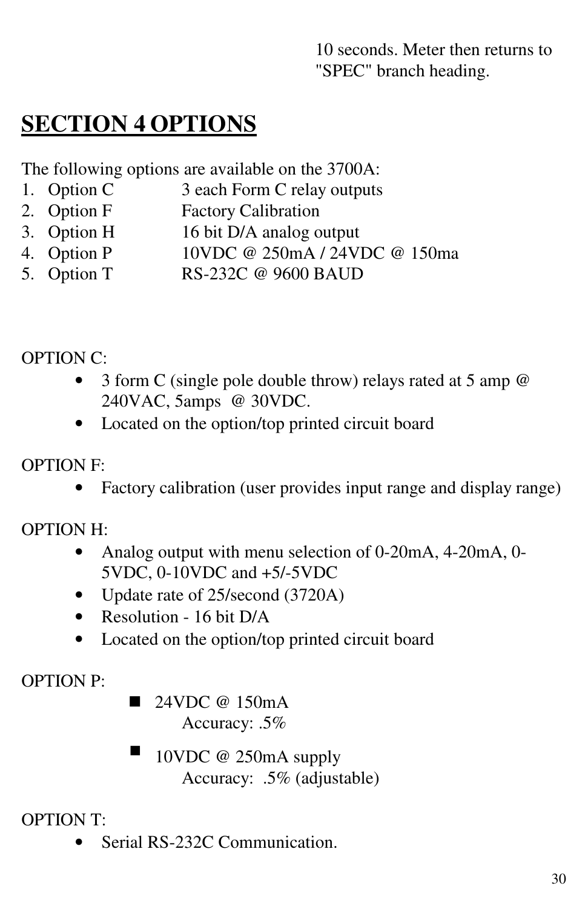10 seconds. Meter then returns to "SPEC" branch heading.

# **SECTION 4 OPTIONS**

The following options are available on the 3700A:

- 1. Option C 3 each Form C relay outputs
- 2. Option F Factory Calibration
- 3. Option H 16 bit D/A analog output
- 4. Option P 10VDC @ 250mA / 24VDC @ 150ma
- 5. Option T RS-232C @ 9600 BAUD

OPTION C:

- 3 form C (single pole double throw) relays rated at 5 amp @ 240VAC, 5amps @ 30VDC.
- Located on the option/top printed circuit board

#### OPTION F:

• Factory calibration (user provides input range and display range)

OPTION H:

- Analog output with menu selection of 0-20mA, 4-20mA, 0-5VDC, 0-10VDC and +5/-5VDC
- Update rate of 25/second (3720A)
- Resolution 16 bit D/A
- Located on the option/top printed circuit board

OPTION P:

- $\blacksquare$  24VDC @ 150mA Accuracy: .5%
- - 10VDC @ 250mA supply Accuracy: .5% (adjustable)

OPTION T:

Serial RS-232C Communication.